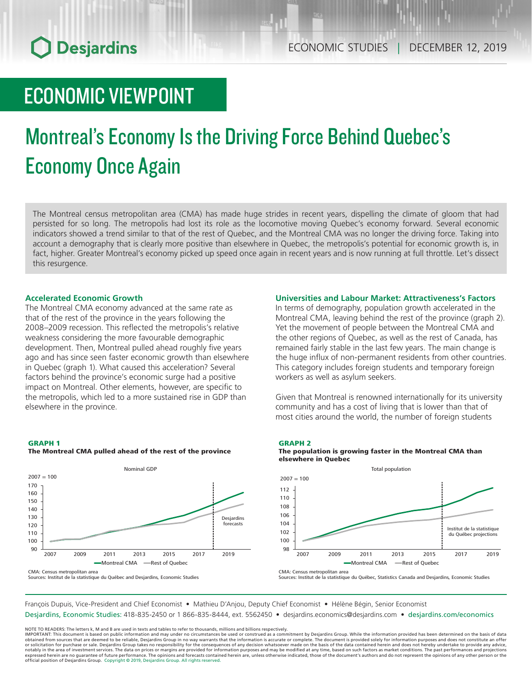## **O** Desjardins

## ECONOMIC VIEWPOINT

# Montreal's Economy Is the Driving Force Behind Quebec's Economy Once Again

The Montreal census metropolitan area (CMA) has made huge strides in recent years, dispelling the climate of gloom that had persisted for so long. The metropolis had lost its role as the locomotive moving Quebec's economy forward. Several economic indicators showed a trend similar to that of the rest of Quebec, and the Montreal CMA was no longer the driving force. Taking into account a demography that is clearly more positive than elsewhere in Quebec, the metropolis's potential for economic growth is, in fact, higher. Greater Montreal's economy picked up speed once again in recent years and is now running at full throttle. Let's dissect this resurgence.

### **Accelerated Economic Growth**

The Montreal CMA economy advanced at the same rate as that of the rest of the province in the years following the 2008–2009 recession. This reflected the metropolis's relative weakness considering the more favourable demographic development. Then, Montreal pulled ahead roughly five years ago and has since seen faster economic growth than elsewhere in Quebec (graph 1). What caused this acceleration? Several factors behind the province's economic surge had a positive impact on Montreal. Other elements, however, are specific to the metropolis, which led to a more sustained rise in GDP than elsewhere in the province.

### GRAPH 1 The Montreal CMA pulled ahead of the rest of the province



CMA: Census metropolitan area

Sources: Institut de la statistique du Québec and Desjardins, Economic Studies

### **Universities and Labour Market: Attractiveness's Factors**

In terms of demography, population growth accelerated in the Montreal CMA, leaving behind the rest of the province (graph 2). Yet the movement of people between the Montreal CMA and the other regions of Quebec, as well as the rest of Canada, has remained fairly stable in the last few years. The main change is the huge influx of non-permanent residents from other countries. This category includes foreign students and temporary foreign workers as well as asylum seekers.

Given that Montreal is renowned internationally for its university community and has a cost of living that is lower than that of most cities around the world, the number of foreign students

### GRAPH 2





CMA: Census metropolitan area

Sources: Institut de la statistique du Québec, Statistics Canada and Desjardins, Economic Studies

François Dupuis, Vice-President and Chief Economist • Mathieu D'Anjou, Deputy Chief Economist • Hélène Bégin, Senior Economist

Desjardins, Economic Studies: 418-835-2450 or 1 866-835-8444, ext. 5562450 • desjardins.economics@desjardins.com • desjardins.com/economics

NOTE TO READERS: The letters k, M and B are used in texts and tables to refer to thousands, millions and billions respectively.<br>IMPORTANT: This document is based on public information and may under no circumstances be used obtained from sources that are deemed to be reliable, Desjardins Group in no way warrants that the information is accurate or complete. The document is provided solely for information purposes and does not constitute an of official position of Desjardins Group. Copyright © 2019, Desjardins Group. All rights reserved.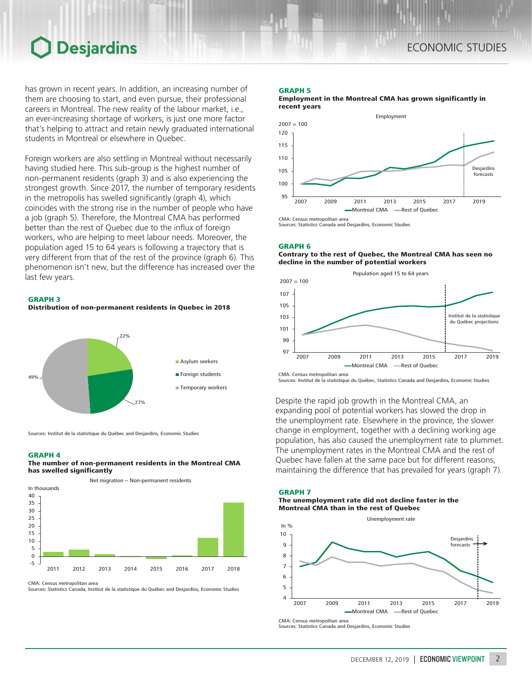### ECONOMIC STUDIES

## **Desjardins**

has grown in recent years. In addition, an increasing number of them are choosing to start, and even pursue, their professional careers in Montreal. The new reality of the labour market, i.e., an ever-increasing shortage of workers, is just one more factor that's helping to attract and retain newly graduated international students in Montreal or elsewhere in Quebec.

Foreign workers are also settling in Montreal without necessarily having studied here. This sub-group is the highest number of non-permanent residents (graph 3) and is also experiencing the strongest growth. Since 2017, the number of temporary residents in the metropolis has swelled significantly (graph 4), which coincides with the strong rise in the number of people who have a job (graph 5). Therefore, the Montreal CMA has performed better than the rest of Quebec due to the influx of foreign workers, who are helping to meet labour needs. Moreover, the population aged 15 to 64 years is following a trajectory that is very different from that of the rest of the province (graph 6). This phenomenon isn't new, but the difference has increased over the last few years.





Sources: Institut de la statistique du Québec and Desjardins, Economic Studies

#### GRAPH 4

### The number of non-permanent residents in the Montreal CMA has swelled significantly

Net migration – Non-permanent residents



CMA: Census metropolitan area

Sources: Statistics Canada, Institut de la statistique du Québec and Desjardins, Economic Studies

#### GRAPH 5

Employment in the Montreal CMA has grown significantly in recent years



Sources: Statistics Canada and Desjardins, Economic Studies

#### GRAPH 6

Contrary to the rest of Quebec, the Montreal CMA has seen no decline in the number of potential workers



Sources: Institut de la statistique du Québec, Statistics Canada and Desjardins, Economic Studies

Despite the rapid job growth in the Montreal CMA, an expanding pool of potential workers has slowed the drop in the unemployment rate. Elsewhere in the province, the slower change in employment, together with a declining working age population, has also caused the unemployment rate to plummet. The unemployment rates in the Montreal CMA and the rest of Quebec have fallen at the same pace but for different reasons, maintaining the difference that has prevailed for years (graph 7).

### GRAPH 7

The unemployment rate did not decline faster in the Montreal CMA than in the rest of Quebec



Sources: Statistics Canada and Desjardins, Economic Studies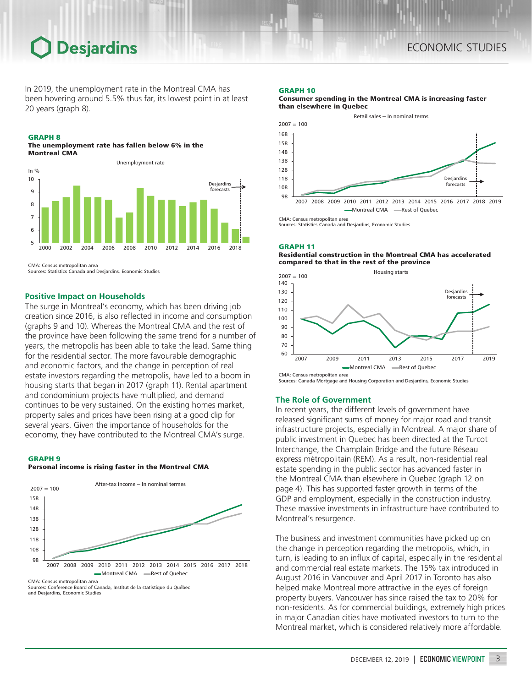### Desjardins

In 2019, the unemployment rate in the Montreal CMA has been hovering around 5.5% thus far, its lowest point in at least 20 years (graph 8).

### GRAPH 8

The unemployment rate has fallen below 6% in the Montreal CMA



CMA: Census metropolitan area

Sources: Statistics Canada and Desjardins, Economic Studies

### **Positive Impact on Households**

The surge in Montreal's economy, which has been driving job creation since 2016, is also reflected in income and consumption (graphs 9 and 10). Whereas the Montreal CMA and the rest of the province have been following the same trend for a number of years, the metropolis has been able to take the lead. Same thing for the residential sector. The more favourable demographic and economic factors, and the change in perception of real estate investors regarding the metropolis, have led to a boom in housing starts that began in 2017 (graph 11). Rental apartment and condominium projects have multiplied, and demand continues to be very sustained. On the existing homes market, property sales and prices have been rising at a good clip for several years. Given the importance of households for the economy, they have contributed to the Montreal CMA's surge.

### GRAPH 9

### Personal income is rising faster in the Montreal CMA



Sources: Conference Board of Canada, Institut de la statistique du Québec and Desjardins, Economic Studies

#### GRAPH 10





Sources: Statistics Canada and Desjardins, Economic Studies

### GRAPH 11

### Residential construction in the Montreal CMA has accelerated compared to that in the rest of the province



Sources: Canada Mortgage and Housing Corporation and Desjardins, Economic Studies

### **The Role of Government**

In recent years, the different levels of government have released significant sums of money for major road and transit infrastructure projects, especially in Montreal. A major share of public investment in Quebec has been directed at the Turcot Interchange, the Champlain Bridge and the future Réseau express métropolitain (REM). As a result, non-residential real estate spending in the public sector has advanced faster in the Montreal CMA than elsewhere in Quebec (graph 12 on page 4). This has supported faster growth in terms of the GDP and employment, especially in the construction industry. These massive investments in infrastructure have contributed to Montreal's resurgence.

The business and investment communities have picked up on the change in perception regarding the metropolis, which, in turn, is leading to an influx of capital, especially in the residential and commercial real estate markets. The 15% tax introduced in August 2016 in Vancouver and April 2017 in Toronto has also helped make Montreal more attractive in the eyes of foreign property buyers. Vancouver has since raised the tax to 20% for non-residents. As for commercial buildings, extremely high prices in major Canadian cities have motivated investors to turn to the Montreal market, which is considered relatively more affordable.